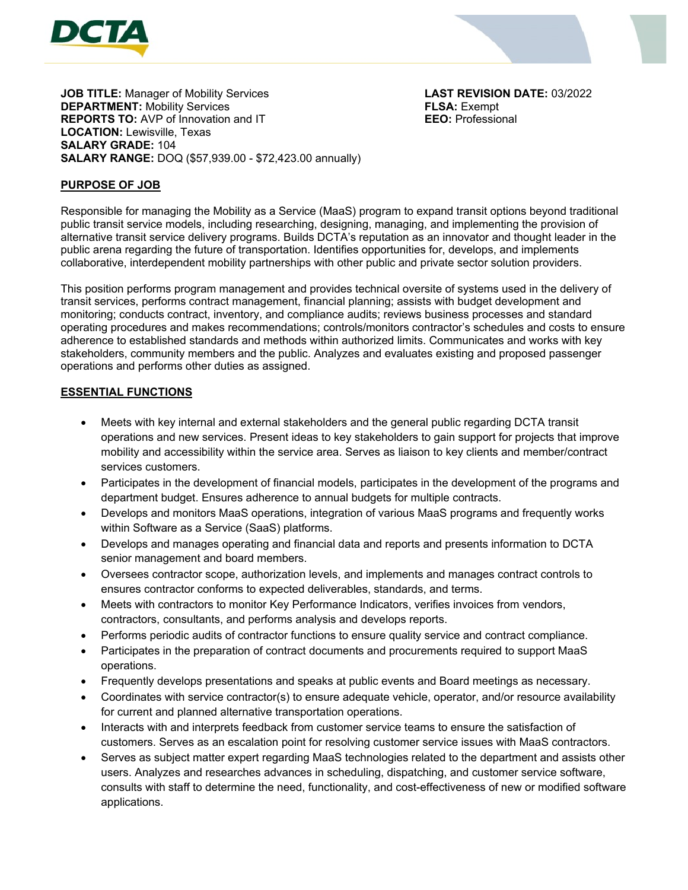



**JOB TITLE:** Manager of Mobility Services **LAST REVISION DATE:** 03/2022 **DEPARTMENT:** Mobility Services **FLSA:** Exempt **REPORTS TO:** AVP of Innovation and IT **EEO:** Professional **LOCATION:** Lewisville, Texas **SALARY GRADE:** 104 **SALARY RANGE:** DOQ (\$57,939.00 - \$72,423.00 annually)

# **PURPOSE OF JOB**

Responsible for managing the Mobility as a Service (MaaS) program to expand transit options beyond traditional public transit service models, including researching, designing, managing, and implementing the provision of alternative transit service delivery programs. Builds DCTA's reputation as an innovator and thought leader in the public arena regarding the future of transportation. Identifies opportunities for, develops, and implements collaborative, interdependent mobility partnerships with other public and private sector solution providers.

This position performs program management and provides technical oversite of systems used in the delivery of transit services, performs contract management, financial planning; assists with budget development and monitoring; conducts contract, inventory, and compliance audits; reviews business processes and standard operating procedures and makes recommendations; controls/monitors contractor's schedules and costs to ensure adherence to established standards and methods within authorized limits. Communicates and works with key stakeholders, community members and the public. Analyzes and evaluates existing and proposed passenger operations and performs other duties as assigned.

#### **ESSENTIAL FUNCTIONS**

- Meets with key internal and external stakeholders and the general public regarding DCTA transit operations and new services. Present ideas to key stakeholders to gain support for projects that improve mobility and accessibility within the service area. Serves as liaison to key clients and member/contract services customers.
- Participates in the development of financial models, participates in the development of the programs and department budget. Ensures adherence to annual budgets for multiple contracts.
- Develops and monitors MaaS operations, integration of various MaaS programs and frequently works within Software as a Service (SaaS) platforms.
- Develops and manages operating and financial data and reports and presents information to DCTA senior management and board members.
- Oversees contractor scope, authorization levels, and implements and manages contract controls to ensures contractor conforms to expected deliverables, standards, and terms.
- Meets with contractors to monitor Key Performance Indicators, verifies invoices from vendors, contractors, consultants, and performs analysis and develops reports.
- Performs periodic audits of contractor functions to ensure quality service and contract compliance.
- Participates in the preparation of contract documents and procurements required to support MaaS operations.
- Frequently develops presentations and speaks at public events and Board meetings as necessary.
- Coordinates with service contractor(s) to ensure adequate vehicle, operator, and/or resource availability for current and planned alternative transportation operations.
- Interacts with and interprets feedback from customer service teams to ensure the satisfaction of customers. Serves as an escalation point for resolving customer service issues with MaaS contractors.
- Serves as subject matter expert regarding MaaS technologies related to the department and assists other users. Analyzes and researches advances in scheduling, dispatching, and customer service software, consults with staff to determine the need, functionality, and cost-effectiveness of new or modified software applications.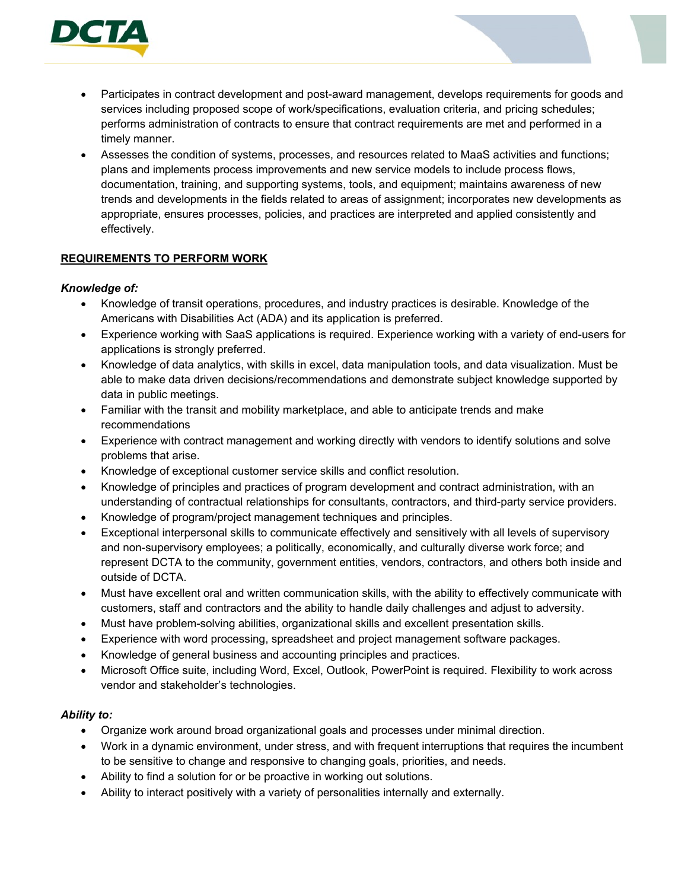

- Participates in contract development and post-award management, develops requirements for goods and services including proposed scope of work/specifications, evaluation criteria, and pricing schedules; performs administration of contracts to ensure that contract requirements are met and performed in a timely manner.
- Assesses the condition of systems, processes, and resources related to MaaS activities and functions; plans and implements process improvements and new service models to include process flows, documentation, training, and supporting systems, tools, and equipment; maintains awareness of new trends and developments in the fields related to areas of assignment; incorporates new developments as appropriate, ensures processes, policies, and practices are interpreted and applied consistently and effectively.

## **REQUIREMENTS TO PERFORM WORK**

## *Knowledge of:*

- Knowledge of transit operations, procedures, and industry practices is desirable. Knowledge of the Americans with Disabilities Act (ADA) and its application is preferred.
- Experience working with SaaS applications is required. Experience working with a variety of end-users for applications is strongly preferred.
- Knowledge of data analytics, with skills in excel, data manipulation tools, and data visualization. Must be able to make data driven decisions/recommendations and demonstrate subject knowledge supported by data in public meetings.
- Familiar with the transit and mobility marketplace, and able to anticipate trends and make recommendations
- Experience with contract management and working directly with vendors to identify solutions and solve problems that arise.
- Knowledge of exceptional customer service skills and conflict resolution.
- Knowledge of principles and practices of program development and contract administration, with an understanding of contractual relationships for consultants, contractors, and third-party service providers.
- Knowledge of program/project management techniques and principles.
- Exceptional interpersonal skills to communicate effectively and sensitively with all levels of supervisory and non-supervisory employees; a politically, economically, and culturally diverse work force; and represent DCTA to the community, government entities, vendors, contractors, and others both inside and outside of DCTA.
- Must have excellent oral and written communication skills, with the ability to effectively communicate with customers, staff and contractors and the ability to handle daily challenges and adjust to adversity.
- Must have problem-solving abilities, organizational skills and excellent presentation skills.
- Experience with word processing, spreadsheet and project management software packages.
- Knowledge of general business and accounting principles and practices.
- Microsoft Office suite, including Word, Excel, Outlook, PowerPoint is required. Flexibility to work across vendor and stakeholder's technologies.

## *Ability to:*

- Organize work around broad organizational goals and processes under minimal direction.
- Work in a dynamic environment, under stress, and with frequent interruptions that requires the incumbent to be sensitive to change and responsive to changing goals, priorities, and needs.
- Ability to find a solution for or be proactive in working out solutions.
- Ability to interact positively with a variety of personalities internally and externally.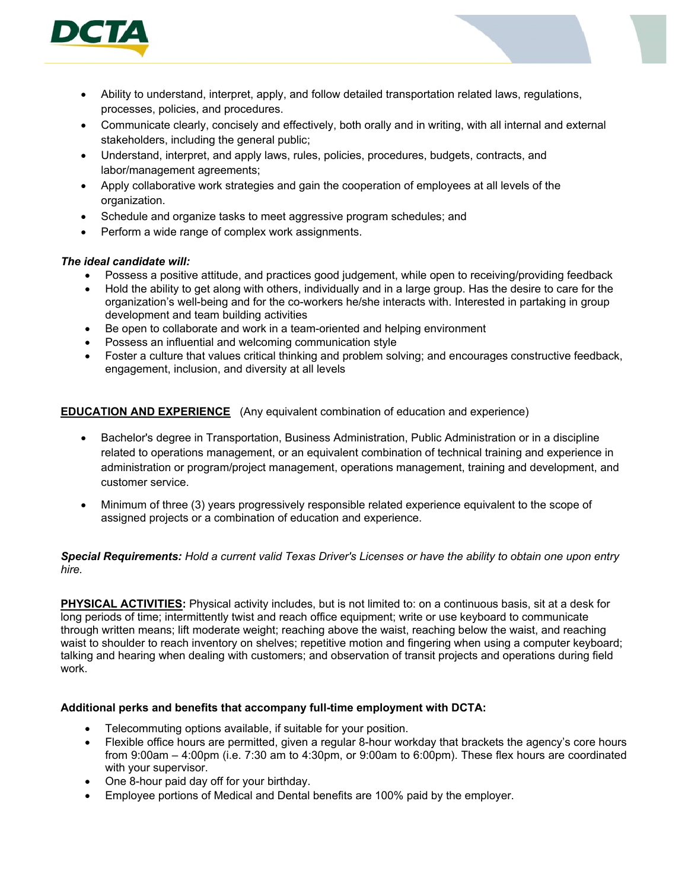

- Ability to understand, interpret, apply, and follow detailed transportation related laws, regulations, processes, policies, and procedures.
- Communicate clearly, concisely and effectively, both orally and in writing, with all internal and external stakeholders, including the general public;
- Understand, interpret, and apply laws, rules, policies, procedures, budgets, contracts, and labor/management agreements;
- Apply collaborative work strategies and gain the cooperation of employees at all levels of the organization.
- Schedule and organize tasks to meet aggressive program schedules; and
- Perform a wide range of complex work assignments.

# *The ideal candidate will:*

- Possess a positive attitude, and practices good judgement, while open to receiving/providing feedback
- Hold the ability to get along with others, individually and in a large group. Has the desire to care for the organization's well-being and for the co-workers he/she interacts with. Interested in partaking in group development and team building activities
- Be open to collaborate and work in a team-oriented and helping environment
- Possess an influential and welcoming communication style
- Foster a culture that values critical thinking and problem solving; and encourages constructive feedback, engagement, inclusion, and diversity at all levels

# **EDUCATION AND EXPERIENCE** (Any equivalent combination of education and experience)

- Bachelor's degree in Transportation, Business Administration, Public Administration or in a discipline related to operations management, or an equivalent combination of technical training and experience in administration or program/project management, operations management, training and development, and customer service.
- Minimum of three (3) years progressively responsible related experience equivalent to the scope of assigned projects or a combination of education and experience.

#### *Special Requirements: Hold a current valid Texas Driver's Licenses or have the ability to obtain one upon entry hire.*

**PHYSICAL ACTIVITIES:** Physical activity includes, but is not limited to: on a continuous basis, sit at a desk for long periods of time; intermittently twist and reach office equipment; write or use keyboard to communicate through written means; lift moderate weight; reaching above the waist, reaching below the waist, and reaching waist to shoulder to reach inventory on shelves; repetitive motion and fingering when using a computer keyboard; talking and hearing when dealing with customers; and observation of transit projects and operations during field work.

## **Additional perks and benefits that accompany full-time employment with DCTA:**

- Telecommuting options available, if suitable for your position.
- Flexible office hours are permitted, given a regular 8-hour workday that brackets the agency's core hours from 9:00am – 4:00pm (i.e. 7:30 am to 4:30pm, or 9:00am to 6:00pm). These flex hours are coordinated with your supervisor.
- One 8-hour paid day off for your birthday.
- Employee portions of Medical and Dental benefits are 100% paid by the employer.